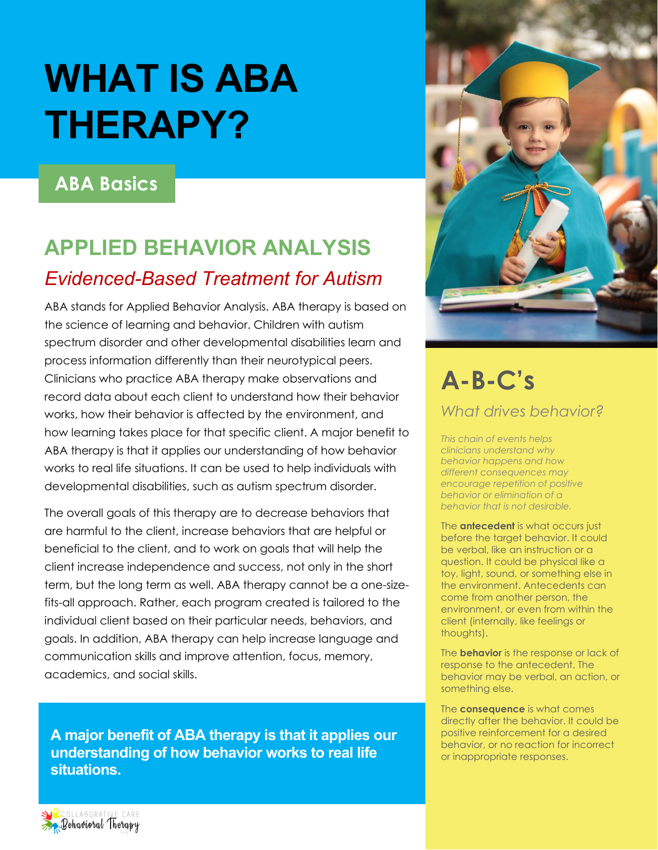# **WHAT IS ABA THERAPY?**

#### **ABA Basics**

### **APPLIED BEHAVIOR ANALYSIS** *Evidenced-Based Treatment for Autism*

ABA stands for Applied Behavior Analysis. ABA therapy is based on the science of learning and behavior. Children with autism spectrum disorder and other developmental disabilities learn and process information differently than their neurotypical peers. Clinicians who practice ABA therapy make observations and record data about each client to understand how their behavior works, how their behavior is affected by the environment, and how learning takes place for that specific client. A major benefit to ABA therapy is that it applies our understanding of how behavior works to real life situations. It can be used to help individuals with developmental disabilities, such as autism spectrum disorder.

The overall goals of this therapy are to decrease behaviors that are harmful to the client, increase behaviors that are helpful or beneficial to the client, and to work on goals that will help the client increase independence and success, not only in the short term, but the long term as well. ABA therapy cannot be a one-sizefits-all approach. Rather, each program created is tailored to the individual client based on their particular needs, behaviors, and goals. In addition, ABA therapy can help increase language and communication skills and improve attention, focus, memory, academics, and social skills.

**A major benefit of ABA therapy is that it applies our understanding of how behavior works to real life situations.** 



## **A-B-C's**

*What drives behavior?*

*This chain of events helps clinicians understand why behavior happens and how different consequences may encourage repetition of positive behavior or elimination of a behavior that is not desirable.* 

The **antecedent** is what occurs just before the target behavior. It could be verbal, like an instruction or a question. It could be physical like a toy, light, sound, or something else in the environment. Antecedents can come from another person, the environment, or even from within the client (internally, like feelings or thoughts).

The **behavior** is the response or lack of response to the antecedent. The behavior may be verbal, an action, or something else.

The **consequence** is what comes directly after the behavior. It could be positive reinforcement for a desired behavior, or no reaction for incorrect or inappropriate responses.